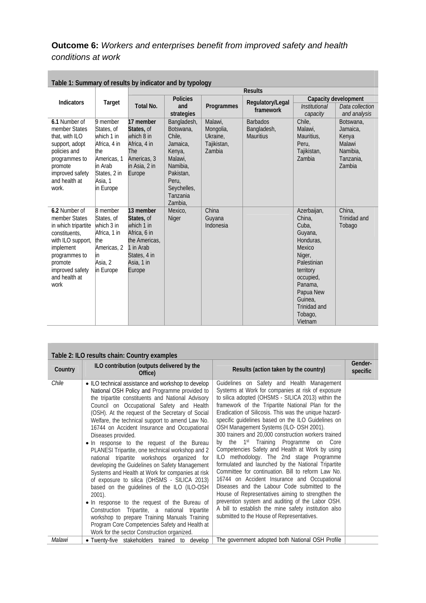## **Outcome 6:** *Workers and enterprises benefit from improved safety and health conditions at work*

| Table 1: Summary of results by indicator and by typology                                                                                                                         |                                                                                                                               |                                                                                                                             |                                                                                                                                             |                                                           |                                                    |                                                                                                                                                                                              |                                                                             |
|----------------------------------------------------------------------------------------------------------------------------------------------------------------------------------|-------------------------------------------------------------------------------------------------------------------------------|-----------------------------------------------------------------------------------------------------------------------------|---------------------------------------------------------------------------------------------------------------------------------------------|-----------------------------------------------------------|----------------------------------------------------|----------------------------------------------------------------------------------------------------------------------------------------------------------------------------------------------|-----------------------------------------------------------------------------|
|                                                                                                                                                                                  | <b>Results</b>                                                                                                                |                                                                                                                             |                                                                                                                                             |                                                           |                                                    |                                                                                                                                                                                              |                                                                             |
| <b>Indicators</b>                                                                                                                                                                | Target                                                                                                                        | <b>Total No.</b>                                                                                                            | <b>Policies</b><br>and<br>strategies                                                                                                        | Programmes                                                | Regulatory/Legal<br>framework                      | Institutional<br>capacity                                                                                                                                                                    | Capacity development<br>Data collection<br>and analysis                     |
| 6.1 Number of<br>member States<br>that, with ILO<br>support, adopt<br>policies and<br>programmes to<br>promote<br>improved safety<br>and health at<br>work.                      | 9 member<br>States, of<br>which 1 in<br>Africa, 4 in<br>the<br>Americas, 1<br>in Arab<br>States, 2 in<br>Asia, 1<br>in Europe | 17 member<br>States, of<br>which 8 in<br>Africa, 4 in<br><b>The</b><br>Americas, 3<br>in Asia, 2 in<br>Europe               | Bangladesh,<br>Botswana,<br>Chile,<br>Jamaica.<br>Kenya,<br>Malawi,<br>Namibia,<br>Pakistan,<br>Peru,<br>Seychelles,<br>Tanzania<br>Zambia, | Malawi,<br>Mongolia,<br>Ukraine,<br>Tajikistan,<br>Zambia | <b>Barbados</b><br>Bangladesh,<br><b>Mauritius</b> | Chile,<br>Malawi,<br>Mauritius,<br>Peru.<br>Tajikistan,<br>Zambia                                                                                                                            | Botswana.<br>Jamaica,<br>Kenya<br>Malawi<br>Namibia,<br>Tanzania.<br>Zambia |
| 6.2 Number of<br>member States<br>in which tripartite<br>constituents.<br>with ILO support,<br>implement<br>programmes to<br>promote<br>improved safety<br>and health at<br>work | 8 member<br>States, of<br>which 3 in<br>Africa, 1 in<br>the<br>Americas, 2<br>in<br>Asia, 2<br>in Europe                      | 13 member<br>States, of<br>which 1 in<br>Africa, 6 in<br>the Americas.<br>1 in Arab<br>States, 4 in<br>Asia, 1 in<br>Europe | Mexico,<br><b>Niger</b>                                                                                                                     | China<br>Guyana<br>Indonesia                              |                                                    | Azerbaijan,<br>China.<br>Cuba,<br>Guyana,<br>Honduras.<br>Mexico<br>Niger,<br>Palestinian<br>territory<br>occupied,<br>Panama,<br>Papua New<br>Guinea.<br>Trinidad and<br>Tobago,<br>Vietnam | China,<br>Trinidad and<br>Tobago                                            |

| Table 1: Summary of results by indicator and by typology |  |  |
|----------------------------------------------------------|--|--|
|                                                          |  |  |
|                                                          |  |  |

|         | Table 2: ILO results chain: Country examples                                                                                                                                                                                                                                                                                                                                                                                                                                                                                                                                                                                                                                                                                                                                                                                                                                                                                                                                                              |                                                                                                                                                                                                                                                                                                                                                                                                                                                                                                                                                                                                                                                                                                                                                                                                                                                                                                                                                                                                     |                     |
|---------|-----------------------------------------------------------------------------------------------------------------------------------------------------------------------------------------------------------------------------------------------------------------------------------------------------------------------------------------------------------------------------------------------------------------------------------------------------------------------------------------------------------------------------------------------------------------------------------------------------------------------------------------------------------------------------------------------------------------------------------------------------------------------------------------------------------------------------------------------------------------------------------------------------------------------------------------------------------------------------------------------------------|-----------------------------------------------------------------------------------------------------------------------------------------------------------------------------------------------------------------------------------------------------------------------------------------------------------------------------------------------------------------------------------------------------------------------------------------------------------------------------------------------------------------------------------------------------------------------------------------------------------------------------------------------------------------------------------------------------------------------------------------------------------------------------------------------------------------------------------------------------------------------------------------------------------------------------------------------------------------------------------------------------|---------------------|
| Country | ILO contribution (outputs delivered by the<br>Office)                                                                                                                                                                                                                                                                                                                                                                                                                                                                                                                                                                                                                                                                                                                                                                                                                                                                                                                                                     | Results (action taken by the country)                                                                                                                                                                                                                                                                                                                                                                                                                                                                                                                                                                                                                                                                                                                                                                                                                                                                                                                                                               | Gender-<br>specific |
| Chile   | • ILO technical assistance and workshop to develop<br>National OSH Policy and Programme provided to<br>the tripartite constituents and National Advisory<br>Council on Occupational Safety and Health<br>(OSH). At the request of the Secretary of Social<br>Welfare, the technical support to amend Law No.<br>16744 on Accident Insurance and Occupational<br>Diseases provided.<br>• In response to the request of the Bureau<br>PLANESI Tripartite, one technical workshop and 2<br>national tripartite workshops organized for<br>developing the Guidelines on Safety Management<br>Systems and Health at Work for companies at risk<br>of exposure to silica (OHSMS - SILICA 2013)<br>based on the guidelines of the ILO (ILO-OSH<br>$2001$ ).<br>. In response to the request of the Bureau of<br>Construction Tripartite, a national tripartite<br>workshop to prepare Training Manuals Training<br>Program Core Competencies Safety and Health at<br>Work for the sector Construction organized. | Guidelines on Safety and Health Management<br>Systems at Work for companies at risk of exposure<br>to silica adopted (OHSMS - SILICA 2013) within the<br>framework of the Tripartite National Plan for the<br>Eradication of Silicosis. This was the unique hazard-<br>specific guidelines based on the ILO Guidelines on<br>OSH Management Systems (ILO- OSH 2001).<br>300 trainers and 20,000 construction workers trained<br>1st Training Programme on Core<br>by the<br>Competencies Safety and Health at Work by using<br>ILO methodology. The 2nd stage Programme<br>formulated and launched by the National Tripartite<br>Committee for continuation. Bill to reform Law No.<br>16744 on Accident Insurance and Occupational<br>Diseases and the Labour Code submitted to the<br>House of Representatives aiming to strengthen the<br>prevention system and auditing of the Labor OSH.<br>A bill to establish the mine safety institution also<br>submitted to the House of Representatives. |                     |
| Malawi  | • Twenty-five stakeholders trained to develop                                                                                                                                                                                                                                                                                                                                                                                                                                                                                                                                                                                                                                                                                                                                                                                                                                                                                                                                                             | The government adopted both National OSH Profile                                                                                                                                                                                                                                                                                                                                                                                                                                                                                                                                                                                                                                                                                                                                                                                                                                                                                                                                                    |                     |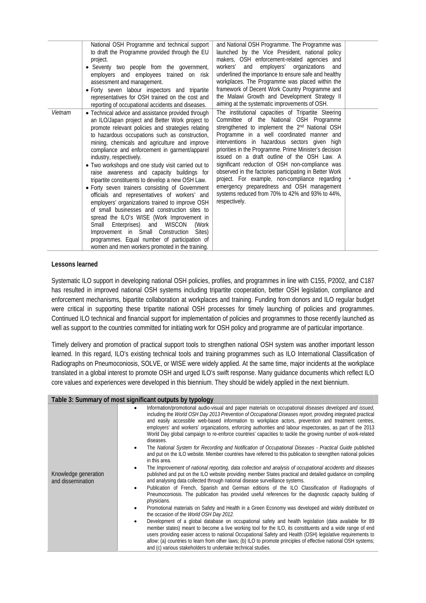|         | National OSH Programme and technical support<br>to draft the Programme provided through the EU<br>project.<br>• Seventy two people from the government,<br>employers and employees trained on risk<br>assessment and management.<br>· Forty seven labour inspectors and tripartite<br>representatives for OSH trained on the cost and<br>reporting of occupational accidents and diseases.                                                                                                                                                                                                                                                                                                                                                                                                                                                                                                                                                           | and National OSH Programme. The Programme was<br>launched by the Vice President, national policy<br>makers, OSH enforcement-related agencies and<br>and employers' organizations<br>workers'<br>and<br>underlined the importance to ensure safe and healthy<br>workplaces. The Programme was placed within the<br>framework of Decent Work Country Programme and<br>the Malawi Growth and Development Strategy II<br>aiming at the systematic improvements of OSH.                                                                                                                                                                                   |  |
|---------|------------------------------------------------------------------------------------------------------------------------------------------------------------------------------------------------------------------------------------------------------------------------------------------------------------------------------------------------------------------------------------------------------------------------------------------------------------------------------------------------------------------------------------------------------------------------------------------------------------------------------------------------------------------------------------------------------------------------------------------------------------------------------------------------------------------------------------------------------------------------------------------------------------------------------------------------------|------------------------------------------------------------------------------------------------------------------------------------------------------------------------------------------------------------------------------------------------------------------------------------------------------------------------------------------------------------------------------------------------------------------------------------------------------------------------------------------------------------------------------------------------------------------------------------------------------------------------------------------------------|--|
| Vietnam | • Technical advice and assistance provided through<br>an ILO/Japan project and Better Work project to<br>promote relevant policies and strategies relating<br>to hazardous occupations such as construction,<br>mining, chemicals and agriculture and improve<br>compliance and enforcement in garment/apparel<br>industry, respectively.<br>• Two workshops and one study visit carried out to<br>raise awareness and capacity buildings for<br>tripartite constituents to develop a new OSH Law.<br>• Forty seven trainers consisting of Government<br>officials and representatives of workers' and<br>employers' organizations trained to improve OSH<br>of small businesses and construction sites to<br>spread the ILO's WISE (Work Improvement in<br>Small Enterprises) and WISCON<br>(Work<br>Improvement in Small Construction<br>Sites)<br>programmes. Equal number of participation of<br>women and men workers promoted in the training. | The institutional capacities of Tripartite Steering<br>Committee of the National OSH Programme<br>strengthened to implement the 2 <sup>nd</sup> National OSH<br>Programme in a well coordinated manner and<br>interventions in hazardous sectors given high<br>priorities in the Programme. Prime Minister's decision<br>issued on a draft outline of the OSH Law. A<br>significant reduction of OSH non-compliance was<br>observed in the factories participating in Better Work<br>project. For example, non-compliance regarding<br>emergency preparedness and OSH management<br>systems reduced from 70% to 42% and 93% to 44%,<br>respectively. |  |

## **Lessons learned**

Systematic ILO support in developing national OSH policies, profiles, and programmes in line with C155, P2002, and C187 has resulted in improved national OSH systems including tripartite cooperation, better OSH legislation, compliance and enforcement mechanisms, bipartite collaboration at workplaces and training. Funding from donors and ILO regular budget were critical in supporting these tripartite national OSH processes for timely launching of policies and programmes. Continued ILO technical and financial support for implementation of policies and programmes to those recently launched as well as support to the countries committed for initiating work for OSH policy and programme are of particular importance.

Timely delivery and promotion of practical support tools to strengthen national OSH system was another important lesson learned. In this regard, ILO's existing technical tools and training programmes such as ILO International Classification of Radiographs on Pneumoconiosis, SOLVE, or WISE were widely applied. At the same time, major incidents at the workplace translated in a global interest to promote OSH and urged ILO's swift response. Many guidance documents which reflect ILO core values and experiences were developed in this biennium. They should be widely applied in the next biennium.

| Table 3: Summary of most significant outputs by typology |                                                                                                                                                                                                                                                                                                                                                                                                                                                                                                                                                                                                                                                                                                                                                                                                                                                                                                                                                                                                                                                                                                                                                                                                                                                                                                                                                                                                                                                                                                                                                                                                                                                                                                                                                                                                                                                                                                                                                                                           |  |  |
|----------------------------------------------------------|-------------------------------------------------------------------------------------------------------------------------------------------------------------------------------------------------------------------------------------------------------------------------------------------------------------------------------------------------------------------------------------------------------------------------------------------------------------------------------------------------------------------------------------------------------------------------------------------------------------------------------------------------------------------------------------------------------------------------------------------------------------------------------------------------------------------------------------------------------------------------------------------------------------------------------------------------------------------------------------------------------------------------------------------------------------------------------------------------------------------------------------------------------------------------------------------------------------------------------------------------------------------------------------------------------------------------------------------------------------------------------------------------------------------------------------------------------------------------------------------------------------------------------------------------------------------------------------------------------------------------------------------------------------------------------------------------------------------------------------------------------------------------------------------------------------------------------------------------------------------------------------------------------------------------------------------------------------------------------------------|--|--|
| Knowledge generation<br>and dissemination                | Information/promotional audio-visual and paper materials on occupational diseases developed and issued,<br>including the World OSH Day 2013 Prevention of Occupational Diseases report, providing integrated practical<br>and easily accessible web-based information to workplace actors, prevention and treatment centres,<br>employers' and workers' organizations, enforcing authorities and labour inspectorates, as part of the 2013<br>World Day global campaign to re-enforce countries' capacities to tackle the growing number of work-related<br>diseases.<br>The National System for Recording and Notification of Occupational Diseases - Practical Guide published<br>٠<br>and put on the ILO website. Member countries have referred to this publication to strengthen national policies<br>in this area.<br>The Improvement of national reporting, data collection and analysis of occupational accidents and diseases<br>published and put on the ILO website providing member States practical and detailed quidance on compiling<br>and analysing data collected through national disease surveillance systems.<br>Publication of French, Spanish and German editions of the ILO Classification of Radiographs of<br>$\bullet$<br>Pneumoconiosis. The publication has provided useful references for the diagnostic capacity building of<br>physicians.<br>Promotional materials on Safety and Health in a Green Economy was developed and widely distributed on<br>the occasion of the World OSH Day 2012.<br>Development of a global database on occupational safety and health legislation (data available for 89<br>٠<br>member states) meant to become a live working tool for the ILO, its constituents and a wide range of end<br>users providing easier access to national Occupational Safety and Health (OSH) legislative requirements to<br>allow: (a) countries to learn from other laws; (b) ILO to promote principles of effective national OSH systems; |  |  |
|                                                          | and (c) various stakeholders to undertake technical studies.                                                                                                                                                                                                                                                                                                                                                                                                                                                                                                                                                                                                                                                                                                                                                                                                                                                                                                                                                                                                                                                                                                                                                                                                                                                                                                                                                                                                                                                                                                                                                                                                                                                                                                                                                                                                                                                                                                                              |  |  |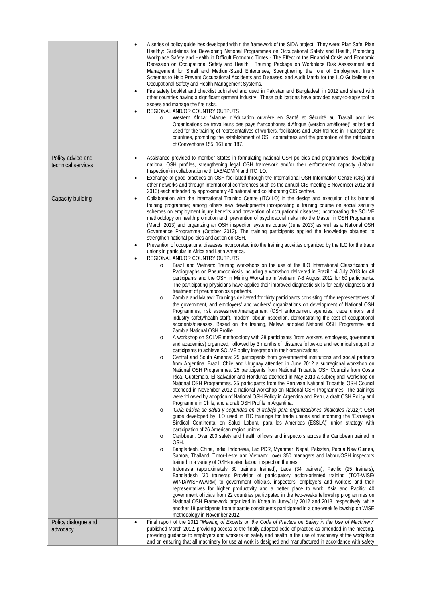|                                         | A series of policy quidelines developed within the framework of the SIDA project. They were: Plan Safe, Plan<br>$\bullet$<br>Healthy: Guidelines for Developing National Programmes on Occupational Safety and Health, Protecting<br>Workplace Safety and Health in Difficult Economic Times - The Effect of the Financial Crisis and Economic<br>Recession on Occupational Safety and Health, Training Package on Workplace Risk Assessment and<br>Management for Small and Medium-Sized Enterprises, Strengthening the role of Employment Injury<br>Schemes to Help Prevent Occupational Accidents and Diseases, and Audit Matrix for the ILO Guidelines on<br>Occupational Safety and Health Management Systems.<br>Fire safety booklet and checklist published and used in Pakistan and Bangladesh in 2012 and shared with<br>$\bullet$<br>other countries having a significant garment industry. These publications have provided easy-to-apply tool to<br>assess and manage the fire risks.<br>REGIONAL AND/OR COUNTRY OUTPUTS<br>٠<br>Western Africa: 'Manuel d'éducation ouvrière en Santé et Sécurité au Travail pour les<br>$\circ$<br>Organisations de travailleurs des pays francophones d'Afrique (version améliorée)' edited and<br>used for the training of representatives of workers, facilitators and OSH trainers in Francophone<br>countries, promoting the establishment of OSH committees and the promotion of the ratification<br>of Conventions 155, 161 and 187.                                                                                                                                                                                                                                                                                                                                                                                                                                                                                                                                                                                                                                                                                                                                                                                                                                                                                                                                                                                                                                                                                                                                                                                                                                                                                                                                                                                                                                                                                                                                                                                                                                                                                                                                                                                                                                                                                                                                                                                                                                                                                                                                                                                                                                                                                                                                                                                                                                                                                                                                                                                                                                                                                                                                                                                                                                                                                                                                                       |
|-----------------------------------------|-------------------------------------------------------------------------------------------------------------------------------------------------------------------------------------------------------------------------------------------------------------------------------------------------------------------------------------------------------------------------------------------------------------------------------------------------------------------------------------------------------------------------------------------------------------------------------------------------------------------------------------------------------------------------------------------------------------------------------------------------------------------------------------------------------------------------------------------------------------------------------------------------------------------------------------------------------------------------------------------------------------------------------------------------------------------------------------------------------------------------------------------------------------------------------------------------------------------------------------------------------------------------------------------------------------------------------------------------------------------------------------------------------------------------------------------------------------------------------------------------------------------------------------------------------------------------------------------------------------------------------------------------------------------------------------------------------------------------------------------------------------------------------------------------------------------------------------------------------------------------------------------------------------------------------------------------------------------------------------------------------------------------------------------------------------------------------------------------------------------------------------------------------------------------------------------------------------------------------------------------------------------------------------------------------------------------------------------------------------------------------------------------------------------------------------------------------------------------------------------------------------------------------------------------------------------------------------------------------------------------------------------------------------------------------------------------------------------------------------------------------------------------------------------------------------------------------------------------------------------------------------------------------------------------------------------------------------------------------------------------------------------------------------------------------------------------------------------------------------------------------------------------------------------------------------------------------------------------------------------------------------------------------------------------------------------------------------------------------------------------------------------------------------------------------------------------------------------------------------------------------------------------------------------------------------------------------------------------------------------------------------------------------------------------------------------------------------------------------------------------------------------------------------------------------------------------------------------------------------------------------------------------------------------------------------------------------------------------------------------------------------------------------------------------------------------------------------------------------------------------------------------------------------------------------------------------------------------------------------------------------------------------------------------------------------------------------------------------------------------------------------------------------------------------------------------------|
| Policy advice and<br>technical services | Assistance provided to member States in formulating national OSH policies and programmes, developing<br>$\bullet$<br>national OSH profiles, strengthening legal OSH framework and/or their enforcement capacity (Labour<br>Inspection) in collaboration with LAB/ADMIN and ITC ILO.<br>Exchange of good practices on OSH facilitated through the International OSH Information Centre (CIS) and<br>$\bullet$<br>other networks and through international conferences such as the annual CIS meeting 8 November 2012 and<br>2013) each attended by approximately 40 national and collaborating CIS centres.                                                                                                                                                                                                                                                                                                                                                                                                                                                                                                                                                                                                                                                                                                                                                                                                                                                                                                                                                                                                                                                                                                                                                                                                                                                                                                                                                                                                                                                                                                                                                                                                                                                                                                                                                                                                                                                                                                                                                                                                                                                                                                                                                                                                                                                                                                                                                                                                                                                                                                                                                                                                                                                                                                                                                                                                                                                                                                                                                                                                                                                                                                                                                                                                                                                                                                                                                                                                                                                                                                                                                                                                                                                                                                                                                                                                                                      |
| Capacity building                       | Collaboration with the International Training Centre (ITC/ILO) in the design and execution of its biennial<br>$\bullet$<br>training programme; among others new developments incorporating a training course on social security<br>schemes on employment injury benefits and prevention of occupational diseases; incorporating the SOLVE<br>methodology on health promotion and prevention of psychosocial risks into the Master in OSH Programme<br>(March 2013) and organizing an OSH inspection systems course (June 2013) as well as a National OSH<br>Governance Programme (October 2013). The training participants applied the knowledge obtained to<br>strengthen national policies and action on OSH.<br>Prevention of occupational diseases incorporated into the training activities organized by the ILO for the trade<br>$\bullet$<br>unions in particular in Africa and Latin America.<br>REGIONAL AND/OR COUNTRY OUTPUTS<br>٠<br>Brazil and Vietnam: Training workshops on the use of the ILO International Classification of<br>$\circ$<br>Radiographs on Pneumoconiosis including a workshop delivered in Brazil 1-4 July 2013 for 48<br>participants and the OSH in Mining Workshop in Vietnam 7-8 August 2012 for 60 participants.<br>The participating physicians have applied their improved diagnostic skills for early diagnosis and<br>treatment of pneumoconiosis patients.<br>Zambia and Malawi: Trainings delivered for thirty participants consisting of the representatives of<br>$\circ$<br>the government, and employers' and workers' organizations on development of National OSH<br>Programmes, risk assessment/management (OSH enforcement agencies, trade unions and<br>industry safety/health staff), modern labour inspection, demonstrating the cost of occupational<br>accidents/diseases. Based on the training, Malawi adopted National OSH Programme and<br>Zambia National OSH Profile.<br>A workshop on SOLVE methodology with 28 participants (from workers, employers, government<br>$\circ$<br>and academics) organized, followed by 3 months of distance follow-up and technical support to<br>participants to achieve SOLVE policy integration in their organizations.<br>Central and South America: 25 participants from governmental institutions and social partners<br>O<br>from Argentina, Brazil, Chile and Uruguay attended in June 2012 a subregional workshop on<br>National OSH Programmes. 25 participants from National Tripartite OSH Councils from Costa<br>Rica, Guatemala, El Salvador and Honduras attended in May 2013 a subregional workshop on<br>National OSH Programmes. 25 participants from the Peruvian National Tripartite OSH Council<br>attended in November 2012 a national workshop on National OSH Programmes. The trainings<br>were followed by adoption of National OSH Policy in Argentina and Peru, a draft OSH Policy and<br>Programme in Chile, and a draft OSH Profile in Argentina.<br>'Guía básica de salud y seguridad en el trabajo para organizaciones sindicales (2012): OSH<br>$\circ$<br>guide developed by ILO used in ITC trainings for trade unions and informing the 'Estrategia<br>Sindical Continental en Salud Laboral para las Américas (ESSLA)' union strategy with<br>participation of 26 American region unions.<br>Caribbean: Over 200 safety and health officers and inspectors across the Caribbean trained in<br>$\circ$<br>OSH.<br>Bangladesh, China, India, Indonesia, Lao PDR, Myanmar, Nepal, Pakistan, Papua New Guinea,<br>$\circ$<br>Samoa, Thailand, Timor-Leste and Vietnam: over 350 managers and labour/OSH inspectors<br>trained in a variety of OSH-related labour inspection themes.<br>Indonesia (approximately 30 trainers trained), Laos (34 trainers), Pacific (25 trainers),<br>$\circ$<br>Bangladesh (30 trainers): Provision of participatory action-oriented training (TOT-WISE/<br>WIND/WISH/WARM) to government officials, inspectors, employers and workers and their<br>representatives for higher productivity and a better place to work. Asia and Pacific: 40<br>government officials from 22 countries participated in the two-weeks fellowship programmes on<br>National OSH Framework organized in Korea in June/July 2012 and 2013, respectively, while<br>another 18 participants from tripartite constituents participated in a one-week fellowship on WISE<br>methodology in November 2012. |
| Policy dialogue and                     | Final report of the 2011 "Meeting of Experts on the Code of Practice on Safety in the Use of Machinery"<br>$\bullet$                                                                                                                                                                                                                                                                                                                                                                                                                                                                                                                                                                                                                                                                                                                                                                                                                                                                                                                                                                                                                                                                                                                                                                                                                                                                                                                                                                                                                                                                                                                                                                                                                                                                                                                                                                                                                                                                                                                                                                                                                                                                                                                                                                                                                                                                                                                                                                                                                                                                                                                                                                                                                                                                                                                                                                                                                                                                                                                                                                                                                                                                                                                                                                                                                                                                                                                                                                                                                                                                                                                                                                                                                                                                                                                                                                                                                                                                                                                                                                                                                                                                                                                                                                                                                                                                                                                            |
| advocacy                                | published March 2012, providing access to the finally adopted code of practice as amended in the meeting,<br>providing quidance to employers and workers on safety and health in the use of machinery at the workplace<br>and on ensuring that all machinery for use at work is designed and manufactured in accordance with safety                                                                                                                                                                                                                                                                                                                                                                                                                                                                                                                                                                                                                                                                                                                                                                                                                                                                                                                                                                                                                                                                                                                                                                                                                                                                                                                                                                                                                                                                                                                                                                                                                                                                                                                                                                                                                                                                                                                                                                                                                                                                                                                                                                                                                                                                                                                                                                                                                                                                                                                                                                                                                                                                                                                                                                                                                                                                                                                                                                                                                                                                                                                                                                                                                                                                                                                                                                                                                                                                                                                                                                                                                                                                                                                                                                                                                                                                                                                                                                                                                                                                                                             |